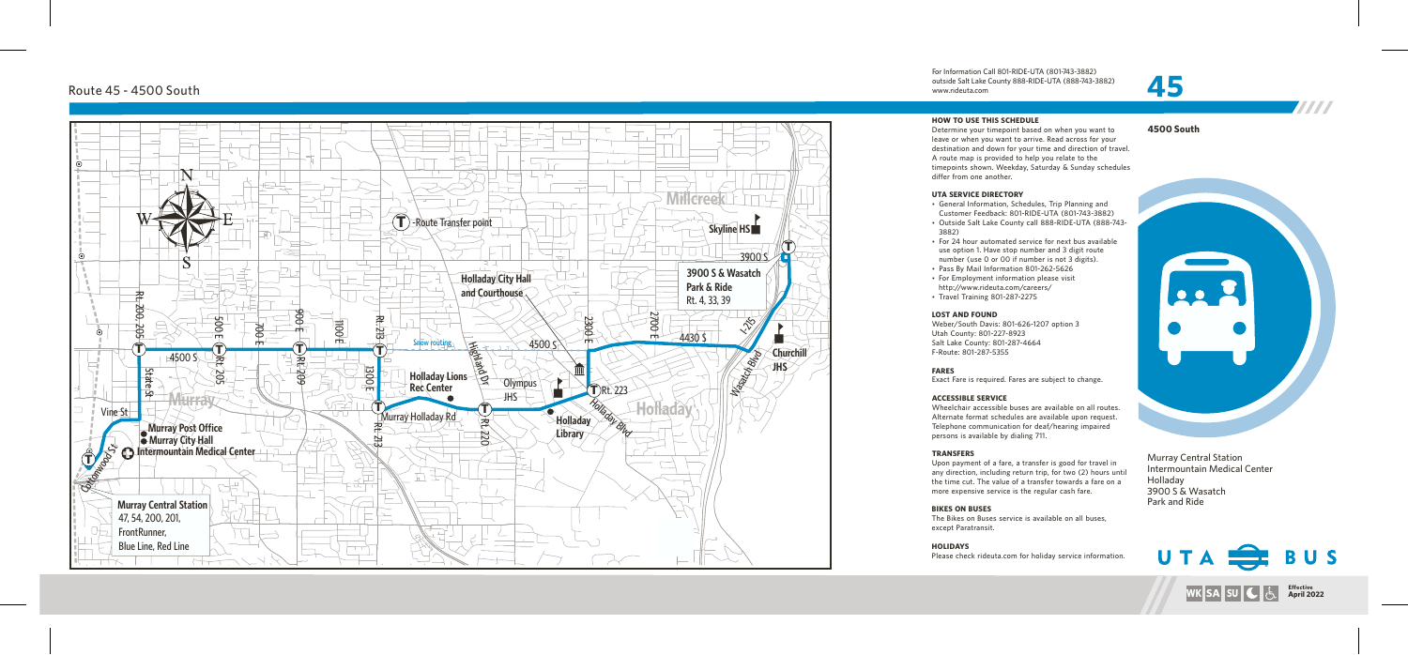**4 5 00 S o u t h**





• General Information, Schedules, Trip Planning and Customer Feedback: 801-RIDE-UTA (801-743-3882) • Outside Salt Lake County call 888-RIDE-UTA (888-743-

• For 24 hour automated service for next bus available use option 1. Have stop number and 3 digit route number (use 0 or 00 if number is not 3 digits). • Pass By Mail Information 801-262-5626<br>• For Employment information please visit http://www.rideuta.com/careers/

Murr ay Central Station Intermountain Medical Center Hollada y 3900 S & Wasatch Park and Ride

www.rideuta. com

### **HOW TO USE THIS SCHEDULE**

Determine your timepoint based on when you want leave or when you want to arrive. Read across for your<br>destination and down for your time and direction of travel. A route map is provided to help you relate to the timepoints shown. Weekday, Saturday & Sunday schedules differ from one another.

- 
- 3 8 8 2 )
- 
- 
- 
- Travel Training 801-287-2275

Wheelchair accessible buses are available on all routes. Alternate format schedules are available upon request. Telephone communication for deaf/hearing impaired persons is available by dialing 711.

**TRANSFERS**<br>Upon payment of a fare, a transfer is good for travel in Upon payment of a fare, a transfer is good for travel in<br>any direction, including return trip, for two (2) hours until the time cut. The value of a transfer towards a fare on a more expensive service is the regular cash fare.

### **UTA SERVICE DIRECTO RY**

## Route 45 - 4500 South





### **LOST AND FOUND**

Weber/South Davis: 801-626-1207 option 3

Utah County: 801-227-8923 Salt Lake County: 801-287-4664 F-Route: 801-287-5355

**FARES**

Exact Fare is required. Fares are subject to change.

The Bikes on Buses service is available on all buses,

Please check rideuta.com for holiday service information.

### **ACCESSIBLE SERVICE**

## **BIKES ON BUSES**

except Paratransit.

**HOLIDAYS**